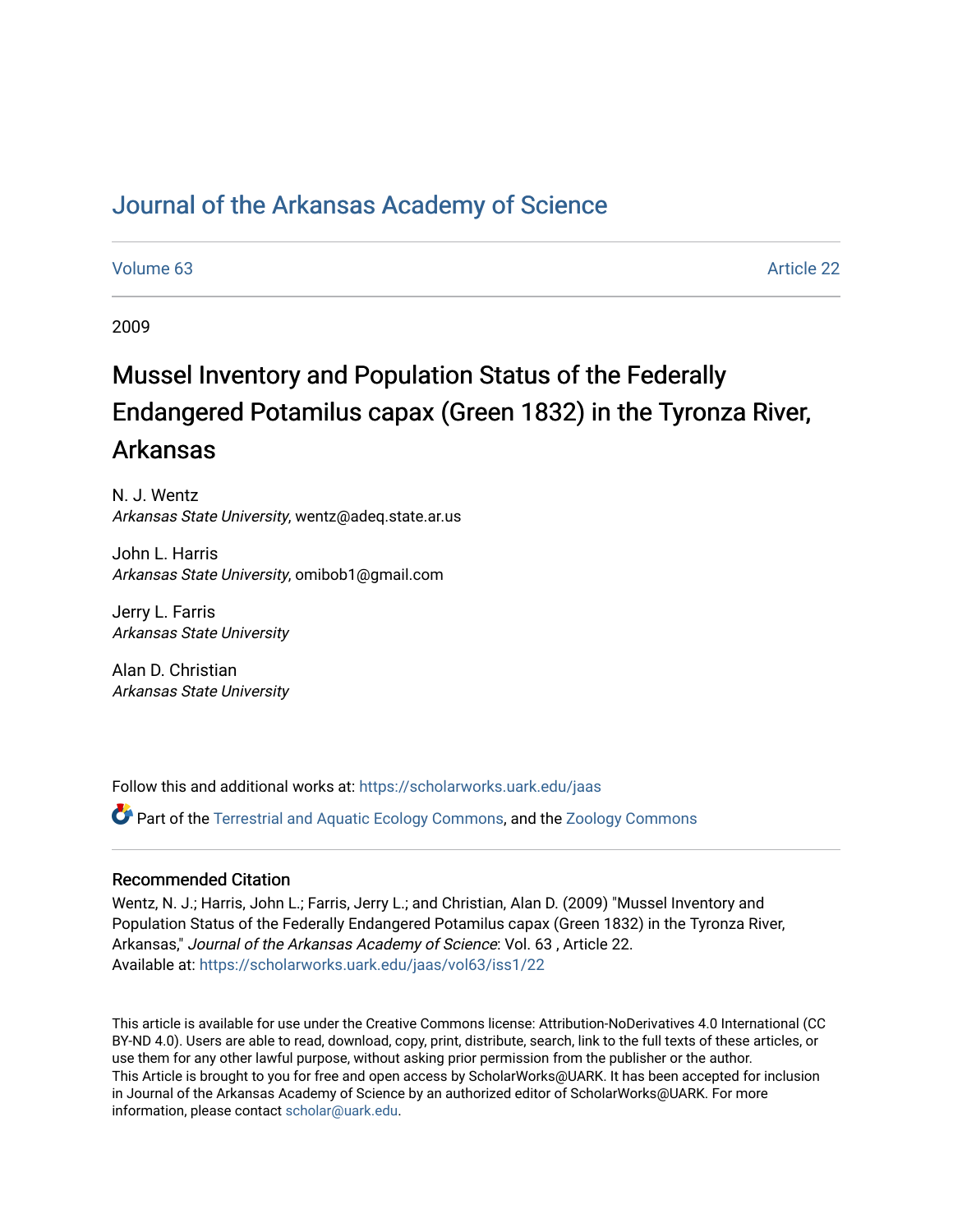# [Journal of the Arkansas Academy of Science](https://scholarworks.uark.edu/jaas)

## [Volume 63](https://scholarworks.uark.edu/jaas/vol63) Article 22

2009

# Mussel Inventory and Population Status of the Federally Endangered Potamilus capax (Green 1832) in the Tyronza River, Arkansas

N. J. Wentz Arkansas State University, wentz@adeq.state.ar.us

John L. Harris Arkansas State University, omibob1@gmail.com

Jerry L. Farris Arkansas State University

Alan D. Christian Arkansas State University

Follow this and additional works at: [https://scholarworks.uark.edu/jaas](https://scholarworks.uark.edu/jaas?utm_source=scholarworks.uark.edu%2Fjaas%2Fvol63%2Fiss1%2F22&utm_medium=PDF&utm_campaign=PDFCoverPages) 

**C** Part of the [Terrestrial and Aquatic Ecology Commons,](http://network.bepress.com/hgg/discipline/20?utm_source=scholarworks.uark.edu%2Fjaas%2Fvol63%2Fiss1%2F22&utm_medium=PDF&utm_campaign=PDFCoverPages) and the [Zoology Commons](http://network.bepress.com/hgg/discipline/81?utm_source=scholarworks.uark.edu%2Fjaas%2Fvol63%2Fiss1%2F22&utm_medium=PDF&utm_campaign=PDFCoverPages)

## Recommended Citation

Wentz, N. J.; Harris, John L.; Farris, Jerry L.; and Christian, Alan D. (2009) "Mussel Inventory and Population Status of the Federally Endangered Potamilus capax (Green 1832) in the Tyronza River, Arkansas," Journal of the Arkansas Academy of Science: Vol. 63 , Article 22. Available at: [https://scholarworks.uark.edu/jaas/vol63/iss1/22](https://scholarworks.uark.edu/jaas/vol63/iss1/22?utm_source=scholarworks.uark.edu%2Fjaas%2Fvol63%2Fiss1%2F22&utm_medium=PDF&utm_campaign=PDFCoverPages)

This article is available for use under the Creative Commons license: Attribution-NoDerivatives 4.0 International (CC BY-ND 4.0). Users are able to read, download, copy, print, distribute, search, link to the full texts of these articles, or use them for any other lawful purpose, without asking prior permission from the publisher or the author. This Article is brought to you for free and open access by ScholarWorks@UARK. It has been accepted for inclusion in Journal of the Arkansas Academy of Science by an authorized editor of ScholarWorks@UARK. For more information, please contact [scholar@uark.edu.](mailto:scholar@uark.edu)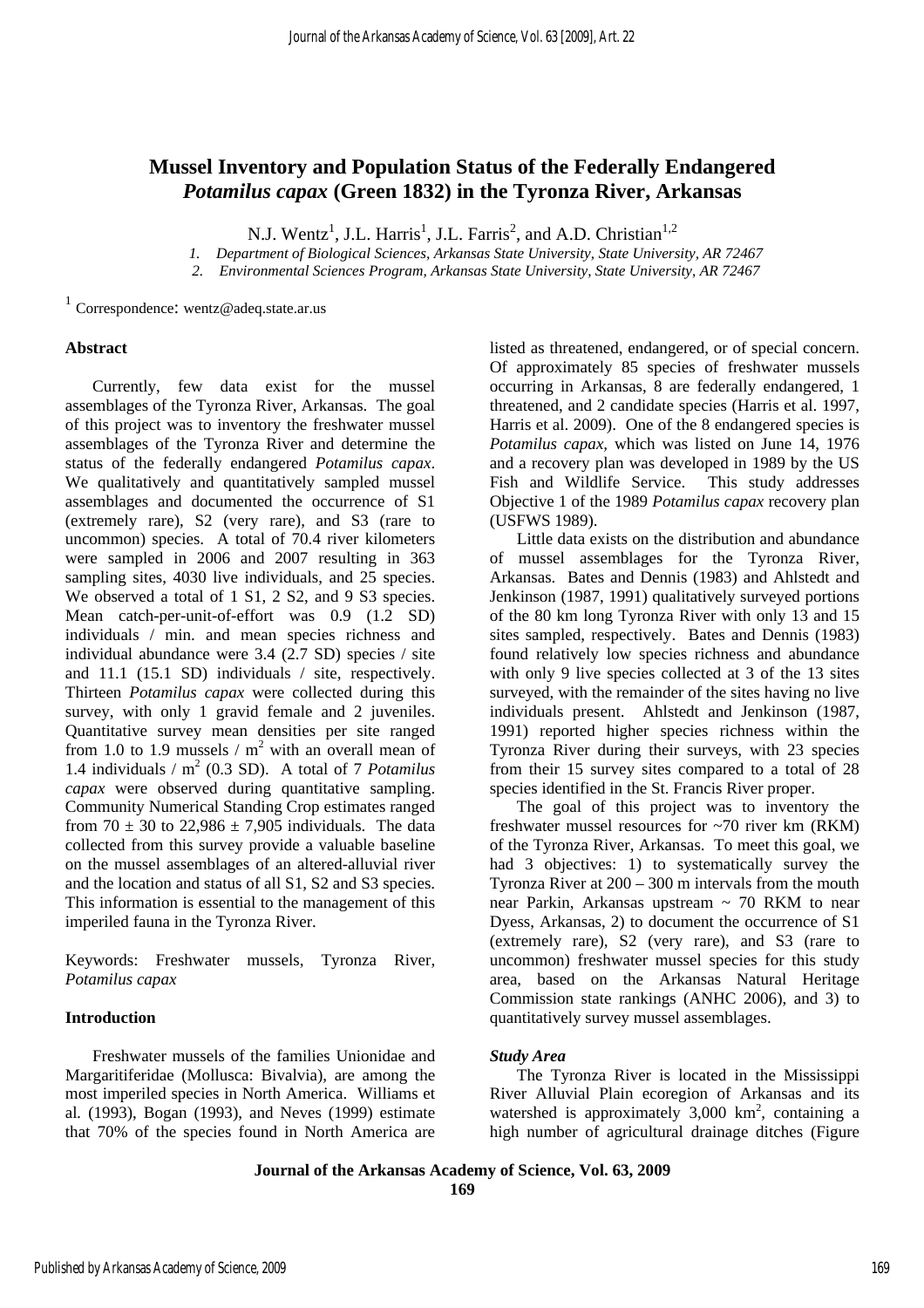## **Mussel Inventory and Population Status of the Federally Endangered** *Potamilus capax* **(Green 1832) in the Tyronza River, Arkansas**

N.J. Wentz<sup>1</sup>, J.L. Harris<sup>1</sup>, J.L. Farris<sup>2</sup>, and A.D. Christian<sup>1,2</sup>

*1. Department of Biological Sciences, Arkansas State University, State University, AR 72467*

*2. Environmental Sciences Program, Arkansas State University, State University, AR 72467*

1 Correspondence: wentz@adeq.state.ar.us

#### **Abstract**

Currently, few data exist for the mussel assemblages of the Tyronza River, Arkansas. The goal of this project was to inventory the freshwater mussel assemblages of the Tyronza River and determine the status of the federally endangered *Potamilus capax*. We qualitatively and quantitatively sampled mussel assemblages and documented the occurrence of S1 (extremely rare), S2 (very rare), and S3 (rare to uncommon) species. A total of 70.4 river kilometers were sampled in 2006 and 2007 resulting in 363 sampling sites, 4030 live individuals, and 25 species. We observed a total of 1 S1, 2 S2, and 9 S3 species. Mean catch-per-unit-of-effort was 0.9 (1.2 SD) individuals / min. and mean species richness and individual abundance were 3.4 (2.7 SD) species / site and 11.1 (15.1 SD) individuals / site, respectively. Thirteen *Potamilus capax* were collected during this survey, with only 1 gravid female and 2 juveniles. Quantitative survey mean densities per site ranged from 1.0 to 1.9 mussels  $/m<sup>2</sup>$  with an overall mean of 1.4 individuals / m<sup>2</sup> (0.3 SD). A total of 7 *Potamilus capax* were observed during quantitative sampling. Community Numerical Standing Crop estimates ranged from 70  $\pm$  30 to 22,986  $\pm$  7,905 individuals. The data collected from this survey provide a valuable baseline on the mussel assemblages of an altered-alluvial river and the location and status of all S1, S2 and S3 species. This information is essential to the management of this imperiled fauna in the Tyronza River.

Keywords: Freshwater mussels, Tyronza River, *Potamilus capax*

## **Introduction**

Freshwater mussels of the families Unionidae and Margaritiferidae (Mollusca: Bivalvia), are among the most imperiled species in North America. Williams et al*.* (1993), Bogan (1993), and Neves (1999) estimate that 70% of the species found in North America are listed as threatened, endangered, or of special concern. Of approximately 85 species of freshwater mussels occurring in Arkansas, 8 are federally endangered, 1 threatened, and 2 candidate species (Harris et al. 1997, Harris et al. 2009). One of the 8 endangered species is *Potamilus capax,* which was listed on June 14, 1976 and a recovery plan was developed in 1989 by the US Fish and Wildlife Service. This study addresses Objective 1 of the 1989 *Potamilus capax* recovery plan (USFWS 1989).

Little data exists on the distribution and abundance of mussel assemblages for the Tyronza River, Arkansas. Bates and Dennis (1983) and Ahlstedt and Jenkinson (1987, 1991) qualitatively surveyed portions of the 80 km long Tyronza River with only 13 and 15 sites sampled, respectively. Bates and Dennis (1983) found relatively low species richness and abundance with only 9 live species collected at 3 of the 13 sites surveyed, with the remainder of the sites having no live individuals present. Ahlstedt and Jenkinson (1987, 1991) reported higher species richness within the Tyronza River during their surveys, with 23 species from their 15 survey sites compared to a total of 28 species identified in the St. Francis River proper.

The goal of this project was to inventory the freshwater mussel resources for ~70 river km (RKM) of the Tyronza River, Arkansas. To meet this goal, we had 3 objectives: 1) to systematically survey the Tyronza River at 200 – 300 m intervals from the mouth near Parkin, Arkansas upstream  $\sim$  70 RKM to near Dyess, Arkansas, 2) to document the occurrence of S1 (extremely rare), S2 (very rare), and S3 (rare to uncommon) freshwater mussel species for this study area, based on the Arkansas Natural Heritage Commission state rankings (ANHC 2006), and 3) to quantitatively survey mussel assemblages.

## *Study Area*

The Tyronza River is located in the Mississippi River Alluvial Plain ecoregion of Arkansas and its watershed is approximately  $3,000 \text{ km}^2$ , containing a high number of agricultural drainage ditches (Figure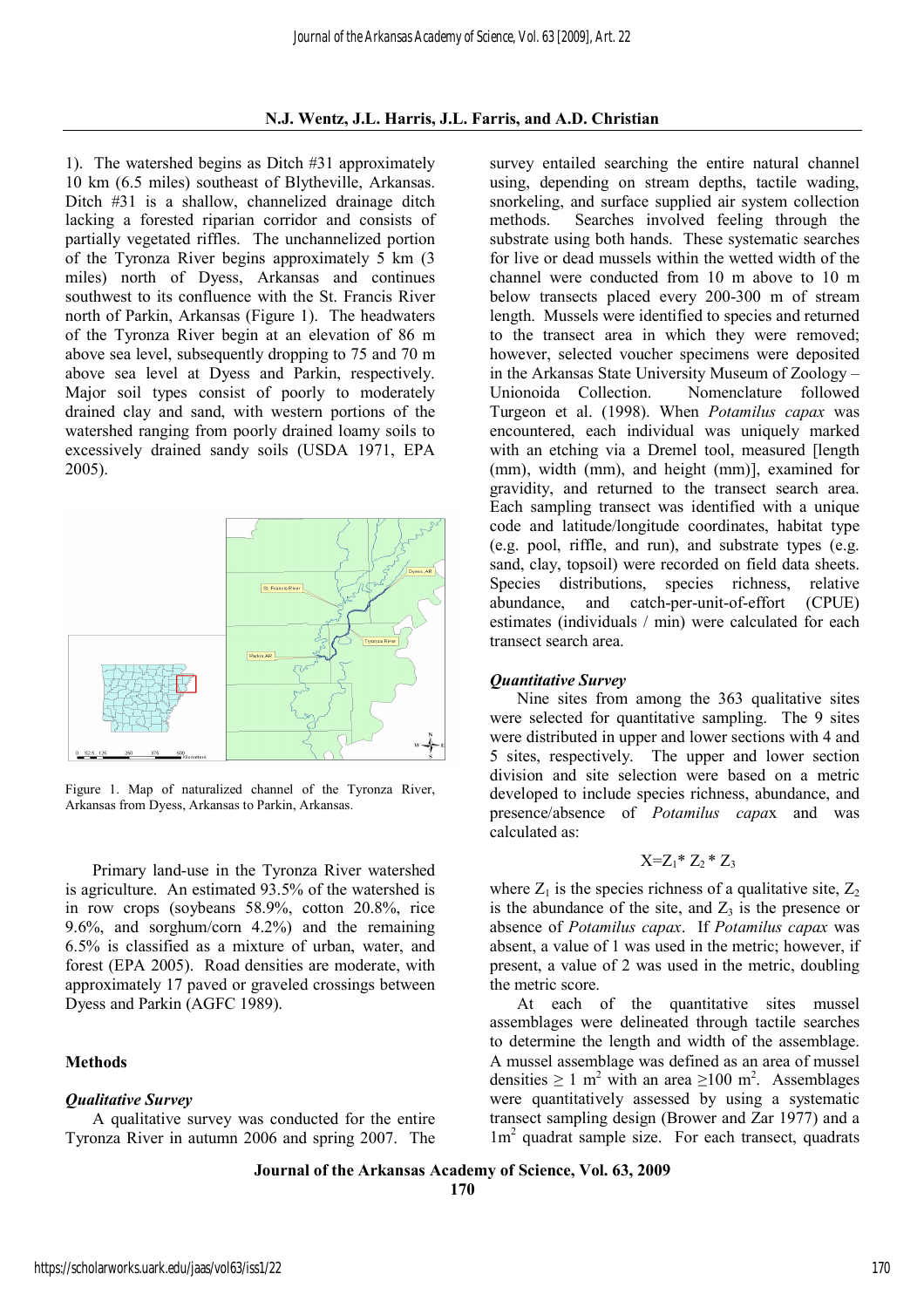## **N.J. Wentz, J.L. Harris, J.L. Farris, and A.D. Christian**

1). The watershed begins as Ditch #31 approximately 10 km (6.5 miles) southeast of Blytheville, Arkansas. Ditch #31 is a shallow, channelized drainage ditch lacking a forested riparian corridor and consists of partially vegetated riffles. The unchannelized portion of the Tyronza River begins approximately 5 km (3 miles) north of Dyess, Arkansas and continues southwest to its confluence with the St. Francis River north of Parkin, Arkansas (Figure 1). The headwaters of the Tyronza River begin at an elevation of 86 m above sea level, subsequently dropping to 75 and 70 m above sea level at Dyess and Parkin, respectively. Major soil types consist of poorly to moderately drained clay and sand, with western portions of the watershed ranging from poorly drained loamy soils to excessively drained sandy soils (USDA 1971, EPA 2005).



Figure 1. Map of naturalized channel of the Tyronza River, Arkansas from Dyess, Arkansas to Parkin, Arkansas.

Primary land-use in the Tyronza River watershed is agriculture. An estimated 93.5% of the watershed is in row crops (soybeans 58.9%, cotton 20.8%, rice 9.6%, and sorghum/corn 4.2%) and the remaining 6.5% is classified as a mixture of urban, water, and forest (EPA 2005). Road densities are moderate, with approximately 17 paved or graveled crossings between Dyess and Parkin (AGFC 1989).

## **Methods**

#### *Qualitative Survey*

A qualitative survey was conducted for the entire Tyronza River in autumn 2006 and spring 2007. The

survey entailed searching the entire natural channel using, depending on stream depths, tactile wading, snorkeling, and surface supplied air system collection methods. Searches involved feeling through the substrate using both hands. These systematic searches for live or dead mussels within the wetted width of the channel were conducted from 10 m above to 10 m below transects placed every 200-300 m of stream length. Mussels were identified to species and returned to the transect area in which they were removed; however, selected voucher specimens were deposited in the Arkansas State University Museum of Zoology – Unionoida Collection. Nomenclature followed Turgeon et al. (1998). When *Potamilus capax* was encountered, each individual was uniquely marked with an etching via a Dremel tool, measured [length (mm), width (mm), and height (mm)], examined for gravidity, and returned to the transect search area. Each sampling transect was identified with a unique code and latitude/longitude coordinates, habitat type (e.g. pool, riffle, and run), and substrate types (e.g. sand, clay, topsoil) were recorded on field data sheets. Species distributions, species richness, relative abundance, and catch-per-unit-of-effort (CPUE) estimates (individuals / min) were calculated for each transect search area.

#### *Quantitative Survey*

Nine sites from among the 363 qualitative sites were selected for quantitative sampling. The 9 sites were distributed in upper and lower sections with 4 and 5 sites, respectively. The upper and lower section division and site selection were based on a metric developed to include species richness, abundance, and presence/absence of *Potamilus capa*x and was calculated as:

$$
X = Z_1^* Z_2^* Z_3
$$

where  $Z_1$  is the species richness of a qualitative site,  $Z_2$ is the abundance of the site, and  $Z_3$  is the presence or absence of *Potamilus capax*. If *Potamilus capax* was absent, a value of 1 was used in the metric; however, if present, a value of 2 was used in the metric, doubling the metric score.

At each of the quantitative sites mussel assemblages were delineated through tactile searches to determine the length and width of the assemblage. A mussel assemblage was defined as an area of mussel densities  $\geq 1$  m<sup>2</sup> with an area  $\geq 100$  m<sup>2</sup>. Assemblages were quantitatively assessed by using a systematic transect sampling design (Brower and Zar 1977) and a 1m<sup>2</sup> quadrat sample size. For each transect, quadrats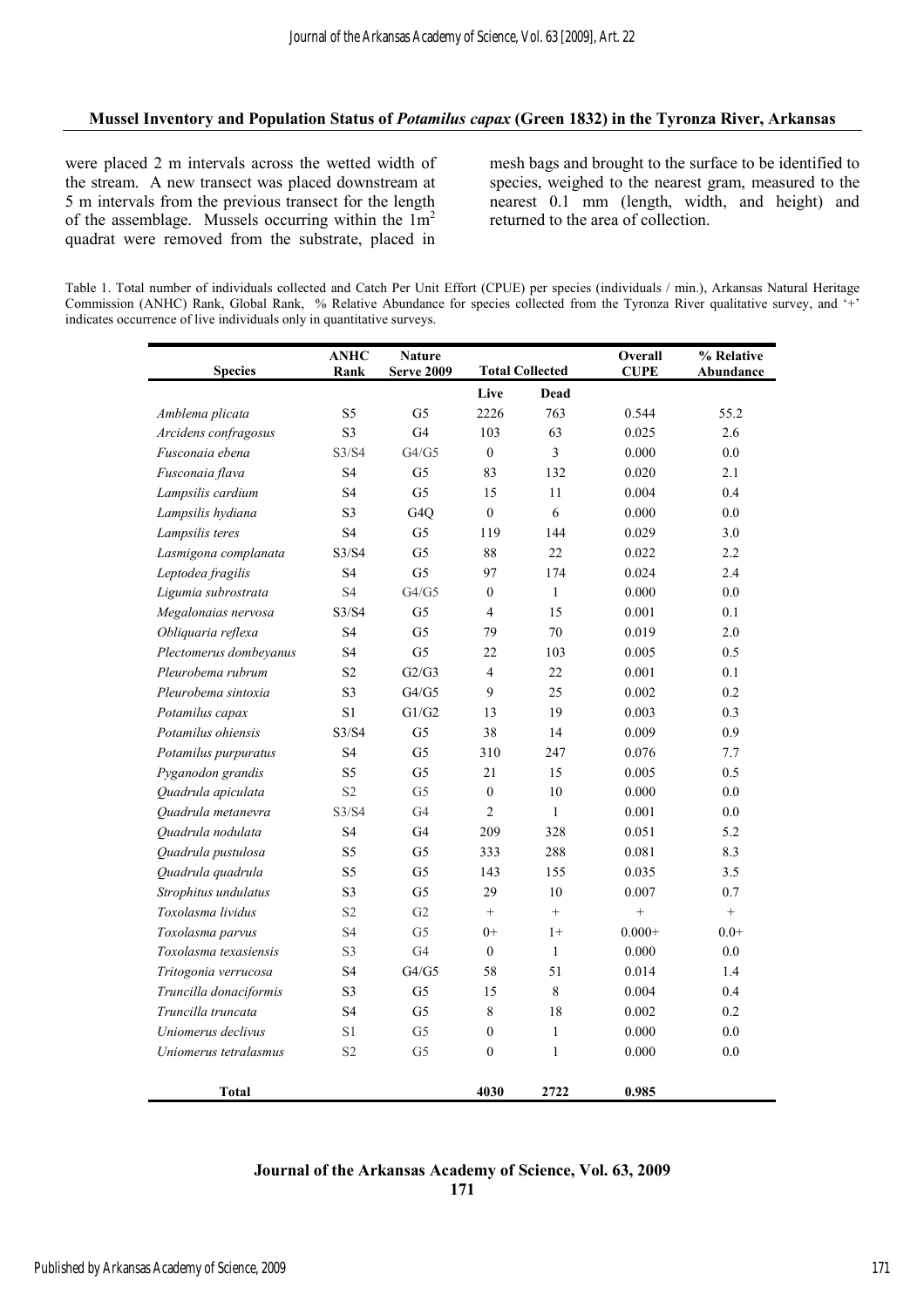## **Mussel Inventory and Population Status of** *Potamilus capax* **(Green 1832) in the Tyronza River, Arkansas**

were placed 2 m intervals across the wetted width of the stream. A new transect was placed downstream at 5 m intervals from the previous transect for the length of the assemblage. Mussels occurring within the  $1m<sup>2</sup>$ quadrat were removed from the substrate, placed in

mesh bags and brought to the surface to be identified to species, weighed to the nearest gram, measured to the nearest 0.1 mm (length, width, and height) and returned to the area of collection.

Table 1. Total number of individuals collected and Catch Per Unit Effort (CPUE) per species (individuals / min.), Arkansas Natural Heritage Commission (ANHC) Rank, Global Rank, % Relative Abundance for species collected from the Tyronza River qualitative survey, and '+' indicates occurrence of live individuals only in quantitative surveys.

| <b>Species</b>         | <b>ANHC</b><br>Rank | <b>Nature</b><br><b>Serve 2009</b> |                  | <b>Total Collected</b> | Overall<br><b>CUPE</b> | % Relative<br>Abundance |
|------------------------|---------------------|------------------------------------|------------------|------------------------|------------------------|-------------------------|
|                        |                     |                                    | Live             | <b>Dead</b>            |                        |                         |
| Amblema plicata        | S5                  | G <sub>5</sub>                     | 2226             | 763                    | 0.544                  | 55.2                    |
| Arcidens confragosus   | S <sub>3</sub>      | G <sub>4</sub>                     | 103              | 63                     | 0.025                  | 2.6                     |
| Fusconaia ebena        | S3/S4               | G4/G5                              | $\boldsymbol{0}$ | $\overline{3}$         | 0.000                  | 0.0                     |
| Fusconaia flava        | S <sub>4</sub>      | G5                                 | 83               | 132                    | 0.020                  | 2.1                     |
| Lampsilis cardium      | S4                  | G <sub>5</sub>                     | 15               | 11                     | 0.004                  | 0.4                     |
| Lampsilis hydiana      | S3                  | G <sub>4</sub> Q                   | $\mathbf{0}$     | 6                      | 0.000                  | 0.0                     |
| Lampsilis teres        | S4                  | G5                                 | 119              | 144                    | 0.029                  | 3.0                     |
| Lasmigona complanata   | S3/S4               | G <sub>5</sub>                     | 88               | 22                     | 0.022                  | 2.2                     |
| Leptodea fragilis      | <b>S4</b>           | G <sub>5</sub>                     | 97               | 174                    | 0.024                  | 2.4                     |
| Ligumia subrostrata    | S4                  | G4/G5                              | $\boldsymbol{0}$ | $\mathbf{1}$           | 0.000                  | 0.0                     |
| Megalonaias nervosa    | S3/S4               | G <sub>5</sub>                     | $\overline{4}$   | 15                     | 0.001                  | 0.1                     |
| Obliquaria reflexa     | <b>S4</b>           | G <sub>5</sub>                     | 79               | 70                     | 0.019                  | $2.0\,$                 |
| Plectomerus dombeyanus | S4                  | G <sub>5</sub>                     | 22               | 103                    | 0.005                  | 0.5                     |
| Pleurobema rubrum      | S <sub>2</sub>      | G2/G3                              | $\overline{4}$   | 22                     | 0.001                  | 0.1                     |
| Pleurobema sintoxia    | S3                  | ${\rm G4/G5}$                      | 9                | 25                     | 0.002                  | 0.2                     |
| Potamilus capax        | S1                  | G1/G2                              | 13               | 19                     | 0.003                  | 0.3                     |
| Potamilus ohiensis     | S3/S4               | G <sub>5</sub>                     | 38               | 14                     | 0.009                  | 0.9                     |
| Potamilus purpuratus   | <b>S4</b>           | G5                                 | 310              | 247                    | 0.076                  | 7.7                     |
| Pyganodon grandis      | S5                  | G <sub>5</sub>                     | 21               | 15                     | 0.005                  | 0.5                     |
| Quadrula apiculata     | S <sub>2</sub>      | G <sub>5</sub>                     | $\boldsymbol{0}$ | 10                     | 0.000                  | $0.0\,$                 |
| Quadrula metanevra     | S3/S4               | G4                                 | $\overline{2}$   | $\mathbf{1}$           | 0.001                  | 0.0                     |
| Quadrula nodulata      | S4                  | G4                                 | 209              | 328                    | 0.051                  | 5.2                     |
| Quadrula pustulosa     | S5                  | G <sub>5</sub>                     | 333              | 288                    | 0.081                  | 8.3                     |
| Quadrula quadrula      | S <sub>5</sub>      | G5                                 | 143              | 155                    | 0.035                  | 3.5                     |
| Strophitus undulatus   | S <sub>3</sub>      | G <sub>5</sub>                     | 29               | 10                     | 0.007                  | 0.7                     |
| Toxolasma lividus      | S <sub>2</sub>      | G2                                 | $^+$             | $^{+}$                 | $+$                    | $+$                     |
| Toxolasma parvus       | S4                  | G <sub>5</sub>                     | $0+$             | $1+$                   | $0.000 +$              | $0.0+$                  |
| Toxolasma texasiensis  | S3                  | G4                                 | $\boldsymbol{0}$ | $\mathbf{1}$           | 0.000                  | $0.0\,$                 |
| Tritogonia verrucosa   | S4                  | ${\rm G4/G5}$                      | 58               | 51                     | 0.014                  | 1.4                     |
| Truncilla donaciformis | S <sub>3</sub>      | G <sub>5</sub>                     | 15               | $\,8\,$                | 0.004                  | 0.4                     |
| Truncilla truncata     | S4                  | G5                                 | $\,8\,$          | 18                     | 0.002                  | 0.2                     |
| Uniomerus declivus     | S1                  | G5                                 | $\boldsymbol{0}$ | $\mathbf{1}$           | 0.000                  | 0.0                     |
| Uniomerus tetralasmus  | S <sub>2</sub>      | G <sub>5</sub>                     | $\boldsymbol{0}$ | $\,1$                  | 0.000                  | 0.0                     |
| <b>Total</b>           |                     |                                    | 4030             | 2722                   | 0.985                  |                         |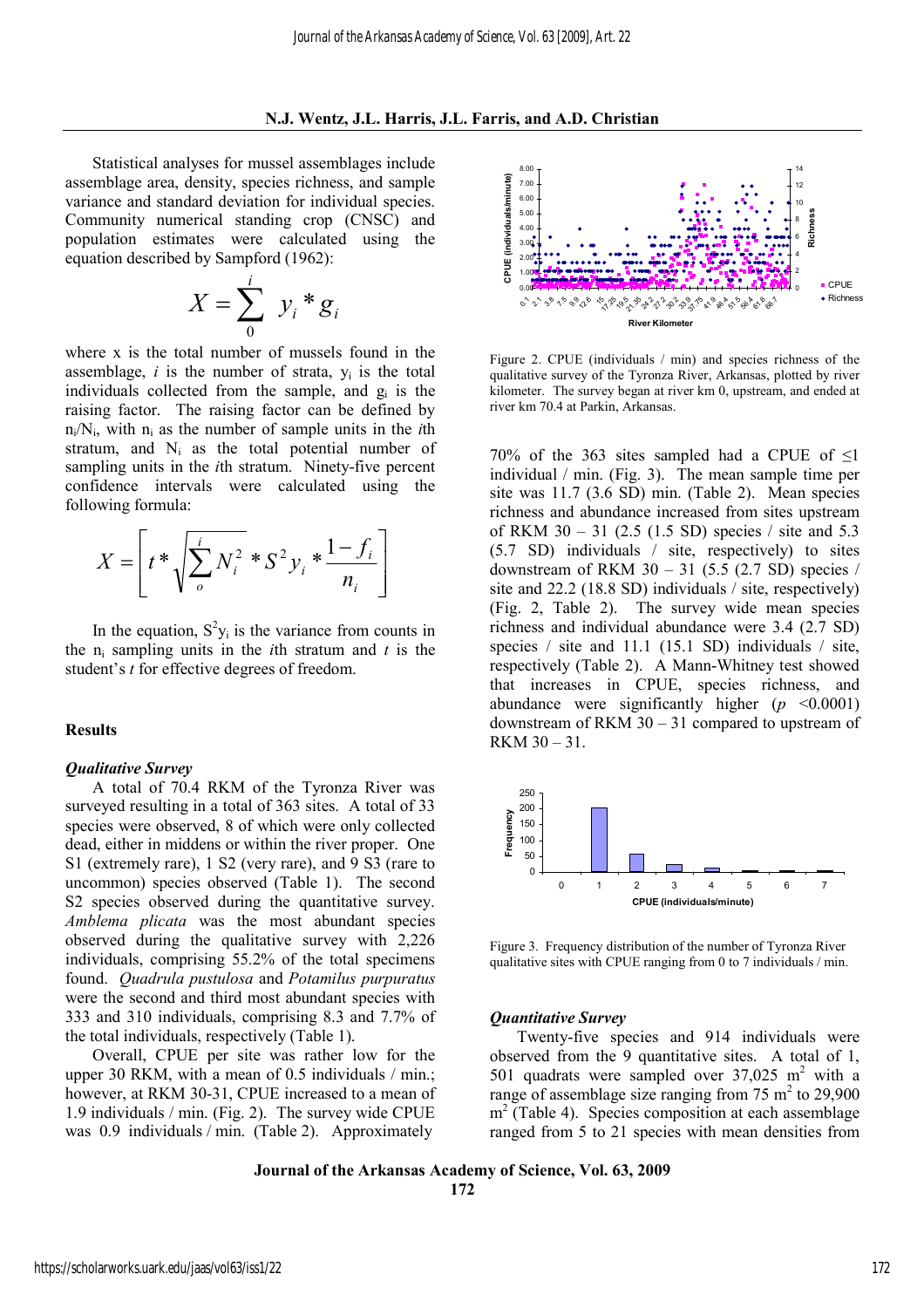Statistical analyses for mussel assemblages include assemblage area, density, species richness, and sample variance and standard deviation for individual species. Community numerical standing crop (CNSC) and population estimates were calculated using the equation described by Sampford (1962):

$$
X = \sum_{0}^{i} y_i * g_i
$$

where x is the total number of mussels found in the assemblage,  $i$  is the number of strata,  $y_i$  is the total individuals collected from the sample, and  $g_i$  is the raising factor. The raising factor can be defined by  $n_i/N_i$ , with  $n_i$  as the number of sample units in the *i*th stratum, and  $N_i$  as the total potential number of sampling units in the *i*th stratum. Ninety-five percent confidence intervals were calculated using the following formula:

$$
X = \left[ t^* \sqrt{\sum_{o}^{i} N_i^2} * S^2 y_i * \frac{1 - f_i}{n_i} \right]
$$

In the equation,  $S^2 y_i$  is the variance from counts in the  $n_i$  sampling units in the *i*th stratum and *t* is the student's *t* for effective degrees of freedom.

#### **Results**

#### *Qualitative Survey*

A total of 70.4 RKM of the Tyronza River was surveyed resulting in a total of 363 sites. A total of 33 species were observed, 8 of which were only collected dead, either in middens or within the river proper. One S1 (extremely rare), 1 S2 (very rare), and 9 S3 (rare to uncommon) species observed (Table 1). The second S2 species observed during the quantitative survey. *Amblema plicata* was the most abundant species observed during the qualitative survey with 2,226 individuals, comprising 55.2% of the total specimens found. *Quadrula pustulosa* and *Potamilus purpuratus* were the second and third most abundant species with 333 and 310 individuals, comprising 8.3 and 7.7% of the total individuals, respectively (Table 1).

Overall, CPUE per site was rather low for the upper 30 RKM, with a mean of 0.5 individuals / min.; however, at RKM 30-31, CPUE increased to a mean of 1.9 individuals / min. (Fig. 2). The survey wide CPUE was 0.9 individuals / min. (Table 2). Approximately



Figure 2. CPUE (individuals / min) and species richness of the qualitative survey of the Tyronza River, Arkansas, plotted by river kilometer. The survey began at river km 0, upstream, and ended at river km 70.4 at Parkin, Arkansas.

70% of the 363 sites sampled had a CPUE of  $\leq$ 1 individual / min. (Fig. 3). The mean sample time per site was 11.7 (3.6 SD) min. (Table 2). Mean species richness and abundance increased from sites upstream of RKM 30 – 31 (2.5 (1.5 SD) species / site and 5.3 (5.7 SD) individuals / site, respectively) to sites downstream of RKM  $30 - 31$  (5.5 (2.7 SD) species / site and 22.2 (18.8 SD) individuals / site, respectively) (Fig. 2, Table 2). The survey wide mean species richness and individual abundance were 3.4 (2.7 SD) species / site and 11.1 (15.1 SD) individuals / site, respectively (Table 2). A Mann-Whitney test showed that increases in CPUE, species richness, and abundance were significantly higher  $(p \le 0.0001)$ downstream of RKM 30 – 31 compared to upstream of  $RKM 30 - 31$ 



Figure 3. Frequency distribution of the number of Tyronza River qualitative sites with CPUE ranging from 0 to 7 individuals / min.

#### *Quantitative Survey*

Twenty-five species and 914 individuals were observed from the 9 quantitative sites. A total of 1, 501 quadrats were sampled over  $37,025$  m<sup>2</sup> with a range of assemblage size ranging from 75  $m<sup>2</sup>$  to 29,900  $m<sup>2</sup>$  (Table 4). Species composition at each assemblage ranged from 5 to 21 species with mean densities from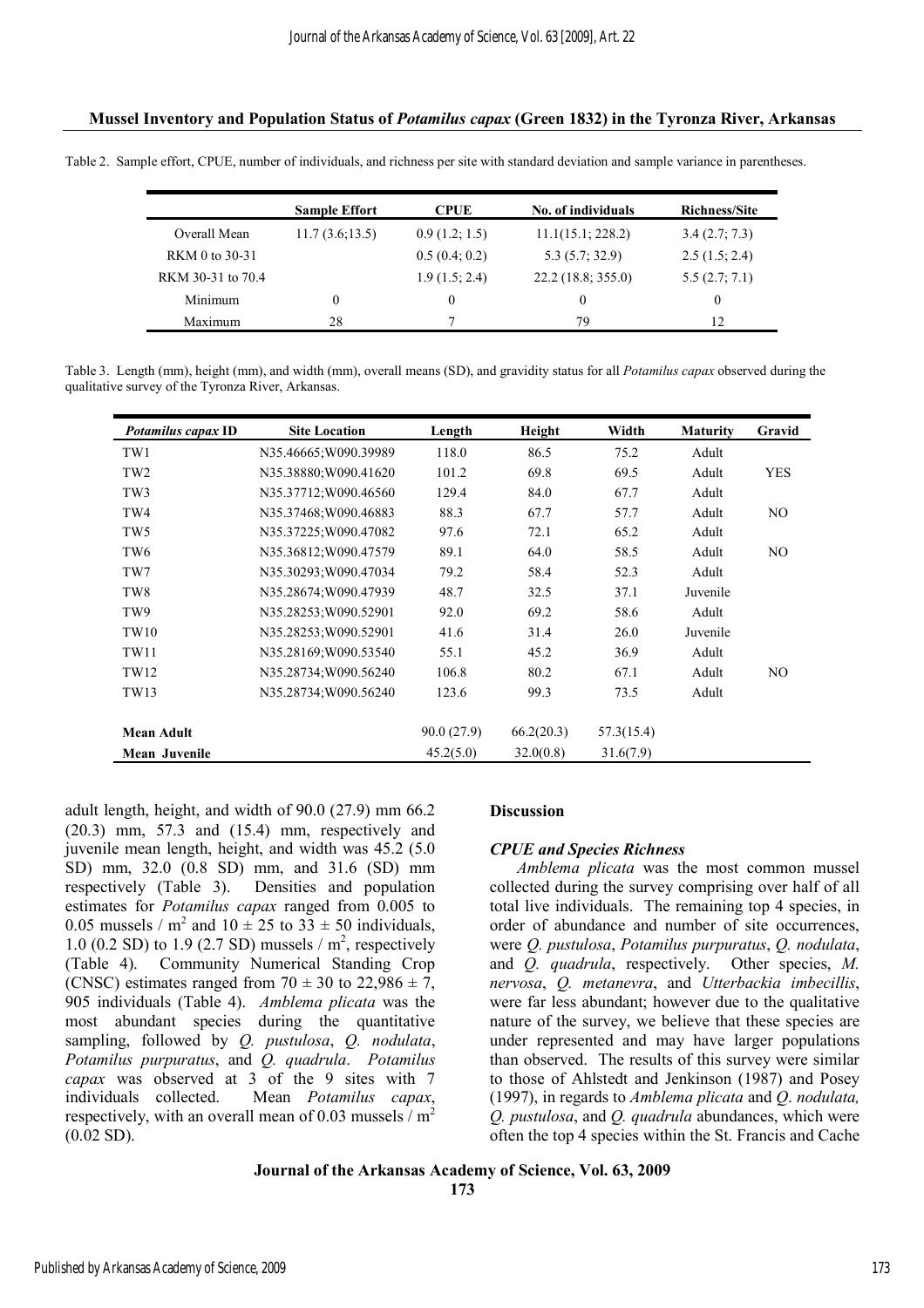## **Mussel Inventory and Population Status of** *Potamilus capax* **(Green 1832) in the Tyronza River, Arkansas**

Table 2. Sample effort, CPUE, number of individuals, and richness per site with standard deviation and sample variance in parentheses.

|                   | <b>Sample Effort</b> | <b>CPUE</b>   | No. of individuals | <b>Richness/Site</b> |
|-------------------|----------------------|---------------|--------------------|----------------------|
| Overall Mean      | 11.7(3.6;13.5)       | 0.9(1.2; 1.5) | 11.1(15.1; 228.2)  | 3.4(2.7; 7.3)        |
| RKM 0 to 30-31    |                      | 0.5(0.4; 0.2) | 5.3(5.7; 32.9)     | 2.5(1.5; 2.4)        |
| RKM 30-31 to 70.4 |                      | 1.9(1.5; 2.4) | 22.2 (18.8; 355.0) | 5.5(2.7; 7.1)        |
| Minimum           | $\theta$             | 0             | $\theta$           | $\theta$             |
| Maximum           | 28                   |               | 79                 | 12                   |

Table 3. Length (mm), height (mm), and width (mm), overall means (SD), and gravidity status for all *Potamilus capax* observed during the qualitative survey of the Tyronza River, Arkansas.

| Potamilus capax ID   | <b>Site Location</b>  | Length     | Height     | Width      | <b>Maturity</b> | Gravid         |
|----------------------|-----------------------|------------|------------|------------|-----------------|----------------|
| TW1                  | N35.46665;W090.39989  | 118.0      | 86.5       | 75.2       | Adult           |                |
| TW <sub>2</sub>      | N35.38880; W090.41620 | 101.2      | 69.8       | 69.5       | Adult           | <b>YES</b>     |
| TW <sub>3</sub>      | N35.37712;W090.46560  | 129.4      | 84.0       | 67.7       | Adult           |                |
| TW4                  | N35.37468; W090.46883 | 88.3       | 67.7       | 57.7       | Adult           | N <sub>O</sub> |
| TW <sub>5</sub>      | N35.37225; W090.47082 | 97.6       | 72.1       | 65.2       | Adult           |                |
| TW <sub>6</sub>      | N35.36812;W090.47579  | 89.1       | 64.0       | 58.5       | Adult           | N <sub>O</sub> |
| TW7                  | N35.30293; W090.47034 | 79.2       | 58.4       | 52.3       | Adult           |                |
| TW8                  | N35.28674; W090.47939 | 48.7       | 32.5       | 37.1       | Juvenile        |                |
| TW9                  | N35.28253; W090.52901 | 92.0       | 69.2       | 58.6       | Adult           |                |
| TW10                 | N35.28253; W090.52901 | 41.6       | 31.4       | 26.0       | Juvenile        |                |
| TW11                 | N35.28169; W090.53540 | 55.1       | 45.2       | 36.9       | Adult           |                |
| TW12                 | N35.28734; W090.56240 | 106.8      | 80.2       | 67.1       | Adult           | N <sub>O</sub> |
| TW13                 | N35.28734; W090.56240 | 123.6      | 99.3       | 73.5       | Adult           |                |
| <b>Mean Adult</b>    |                       | 90.0(27.9) | 66.2(20.3) | 57.3(15.4) |                 |                |
| <b>Mean Juvenile</b> |                       | 45.2(5.0)  | 32.0(0.8)  | 31.6(7.9)  |                 |                |

adult length, height, and width of 90.0 (27.9) mm 66.2 (20.3) mm, 57.3 and (15.4) mm, respectively and juvenile mean length, height, and width was 45.2 (5.0 SD) mm, 32.0 (0.8 SD) mm, and 31.6 (SD) mm respectively (Table 3). Densities and population estimates for *Potamilus capax* ranged from 0.005 to 0.05 mussels /  $m^2$  and  $10 \pm 25$  to  $33 \pm 50$  individuals, 1.0 (0.2 SD) to 1.9 (2.7 SD) mussels  $/m^2$ , respectively (Table 4). Community Numerical Standing Crop (CNSC) estimates ranged from  $70 \pm 30$  to  $22,986 \pm 7$ , 905 individuals (Table 4). *Amblema plicata* was the most abundant species during the quantitative sampling, followed by *Q. pustulosa*, *Q. nodulata*, *Potamilus purpuratus*, and *Q. quadrula*. *Potamilus capax* was observed at 3 of the 9 sites with 7 individuals collected. Mean *Potamilus capax*, respectively, with an overall mean of 0.03 mussels /  $m<sup>2</sup>$  $(0.02 S D)$ .

## **Discussion**

## *CPUE and Species Richness*

*Amblema plicata* was the most common mussel collected during the survey comprising over half of all total live individuals. The remaining top 4 species, in order of abundance and number of site occurrences, were *Q. pustulosa*, *Potamilus purpuratus*, *Q. nodulata*, and *Q. quadrula*, respectively. Other species, *M. nervosa*, *Q. metanevra*, and *Utterbackia imbecillis*, were far less abundant; however due to the qualitative nature of the survey, we believe that these species are under represented and may have larger populations than observed. The results of this survey were similar to those of Ahlstedt and Jenkinson (1987) and Posey (1997), in regards to *Amblema plicata* and *Q*. *nodulata, Q. pustulosa*, and *Q. quadrula* abundances, which were often the top 4 species within the St. Francis and Cache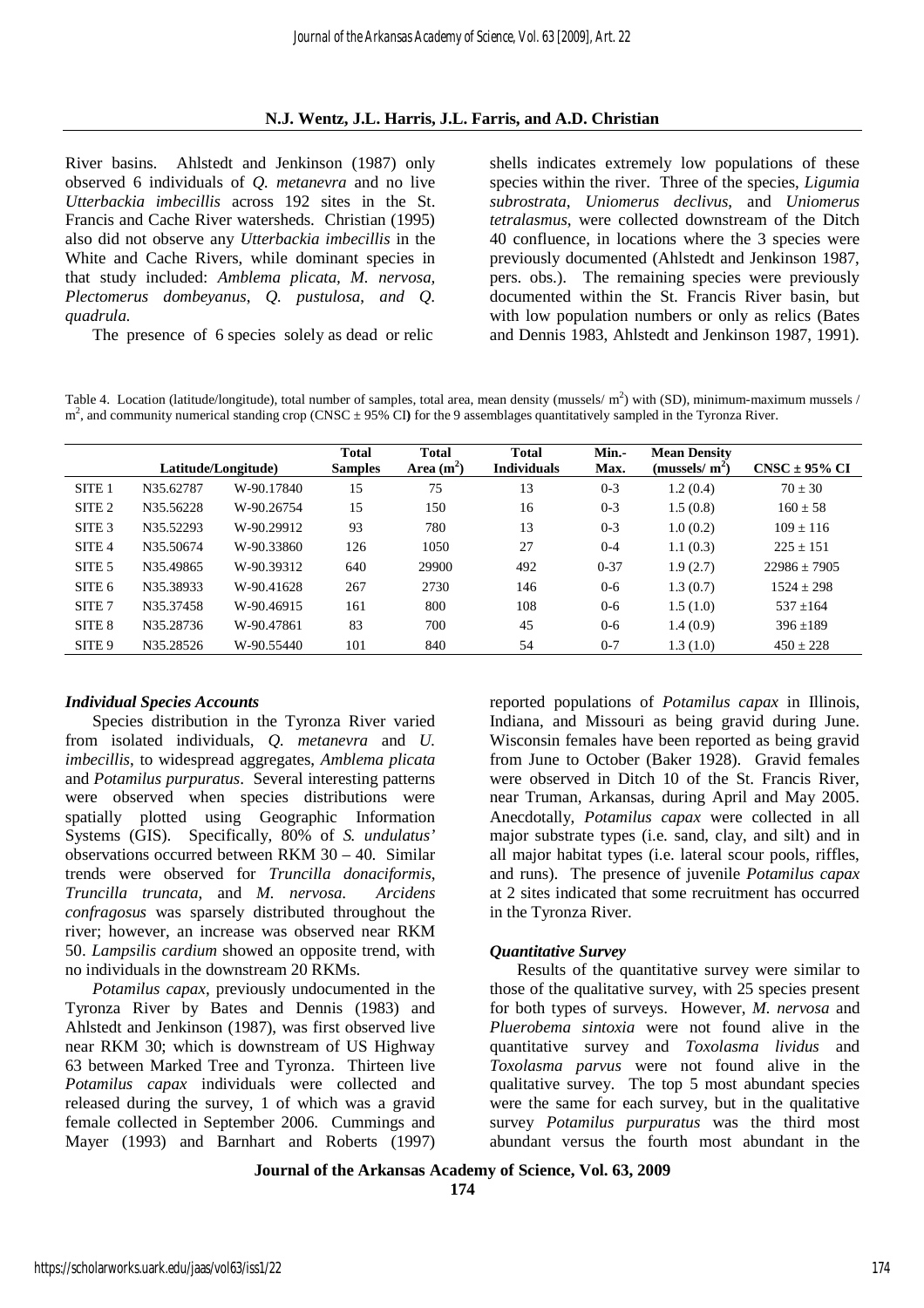## **N.J. Wentz, J.L. Harris, J.L. Farris, and A.D. Christian**

River basins. Ahlstedt and Jenkinson (1987) only observed 6 individuals of *Q. metanevra* and no live *Utterbackia imbecillis* across 192 sites in the St. Francis and Cache River watersheds. Christian (1995) also did not observe any *Utterbackia imbecillis* in the White and Cache Rivers, while dominant species in that study included: *Amblema plicata, M. nervosa, Plectomerus dombeyanus*, *Q. pustulosa*, *and Q. quadrula*.

The presence of 6 species solely as dead or relic

shells indicates extremely low populations of these species within the river. Three of the species, *Ligumia subrostrata*, *Uniomerus declivus*, and *Uniomerus tetralasmus*, were collected downstream of the Ditch 40 confluence, in locations where the 3 species were previously documented (Ahlstedt and Jenkinson 1987, pers. obs.). The remaining species were previously documented within the St. Francis River basin, but with low population numbers or only as relics (Bates and Dennis 1983, Ahlstedt and Jenkinson 1987, 1991).

Table 4. Location (latitude/longitude), total number of samples, total area, mean density (mussels/ m<sup>2</sup>) with (SD), minimum-maximum mussels / m<sup>2</sup>, and community numerical standing crop (CNSC ± 95% CI) for the 9 assemblages quantitatively sampled in the Tyronza River.

|                   |           | Latitude/Longitude) | <b>Total</b><br><b>Samples</b> | <b>Total</b><br>Area $(m^2)$ | <b>Total</b><br><b>Individuals</b> | Min.-<br>Max. | <b>Mean Density</b><br>(mussels/ $m2$ ) | $CNSC \pm 95\% CI$ |
|-------------------|-----------|---------------------|--------------------------------|------------------------------|------------------------------------|---------------|-----------------------------------------|--------------------|
| SITE <sub>1</sub> | N35.62787 | W-90.17840          | 15                             | 75                           | 13                                 | $0 - 3$       | 1.2(0.4)                                | $70 \pm 30$        |
| SITE <sub>2</sub> | N35.56228 | W-90.26754          | 15                             | 150                          | 16                                 | $0 - 3$       | 1.5(0.8)                                | $160 \pm 58$       |
| SITE <sub>3</sub> | N35.52293 | W-90.29912          | 93                             | 780                          | 13                                 | $0 - 3$       | 1.0(0.2)                                | $109 + 116$        |
| SITE <sub>4</sub> | N35.50674 | W-90.33860          | 126                            | 1050                         | 27                                 | $0 - 4$       | 1.1(0.3)                                | $225 \pm 151$      |
| SITE 5            | N35.49865 | W-90.39312          | 640                            | 29900                        | 492                                | $0 - 37$      | 1.9(2.7)                                | $22986 + 7905$     |
| SITE 6            | N35.38933 | W-90.41628          | 267                            | 2730                         | 146                                | $0 - 6$       | 1.3(0.7)                                | $1524 + 298$       |
| SITE <sub>7</sub> | N35.37458 | W-90.46915          | 161                            | 800                          | 108                                | $0 - 6$       | 1.5(1.0)                                | $537 + 164$        |
| SITE 8            | N35.28736 | W-90.47861          | 83                             | 700                          | 45                                 | $0 - 6$       | 1.4(0.9)                                | $396 \pm 189$      |
| SITE <sub>9</sub> | N35.28526 | W-90.55440          | 101                            | 840                          | 54                                 | $0 - 7$       | 1.3(1.0)                                | $450 \pm 228$      |

## *Individual Species Accounts*

Species distribution in the Tyronza River varied from isolated individuals, *Q. metanevra* and *U. imbecillis*, to widespread aggregates, *Amblema plicata* and *Potamilus purpuratus*. Several interesting patterns were observed when species distributions were spatially plotted using Geographic Information Systems (GIS). Specifically, 80% of *S. undulatus'* observations occurred between RKM 30 – 40. Similar trends were observed for *Truncilla donaciformis*, *Truncilla truncata*, and *M. nervosa*. *Arcidens confragosus* was sparsely distributed throughout the river; however, an increase was observed near RKM 50. *Lampsilis cardium* showed an opposite trend, with no individuals in the downstream 20 RKMs.

*Potamilus capax*, previously undocumented in the Tyronza River by Bates and Dennis (1983) and Ahlstedt and Jenkinson (1987), was first observed live near RKM 30; which is downstream of US Highway 63 between Marked Tree and Tyronza. Thirteen live *Potamilus capax* individuals were collected and released during the survey, 1 of which was a gravid female collected in September 2006. Cummings and Mayer (1993) and Barnhart and Roberts (1997)

reported populations of *Potamilus capax* in Illinois, Indiana, and Missouri as being gravid during June. Wisconsin females have been reported as being gravid from June to October (Baker 1928). Gravid females were observed in Ditch 10 of the St. Francis River, near Truman, Arkansas, during April and May 2005. Anecdotally, *Potamilus capax* were collected in all major substrate types (i.e. sand, clay, and silt) and in all major habitat types (i.e. lateral scour pools, riffles, and runs). The presence of juvenile *Potamilus capax* at 2 sites indicated that some recruitment has occurred in the Tyronza River.

## *Quantitative Survey*

Results of the quantitative survey were similar to those of the qualitative survey, with 25 species present for both types of surveys. However, *M. nervosa* and *Pluerobema sintoxia* were not found alive in the quantitative survey and *Toxolasma lividus* and *Toxolasma parvus* were not found alive in the qualitative survey. The top 5 most abundant species were the same for each survey, but in the qualitative survey *Potamilus purpuratus* was the third most abundant versus the fourth most abundant in the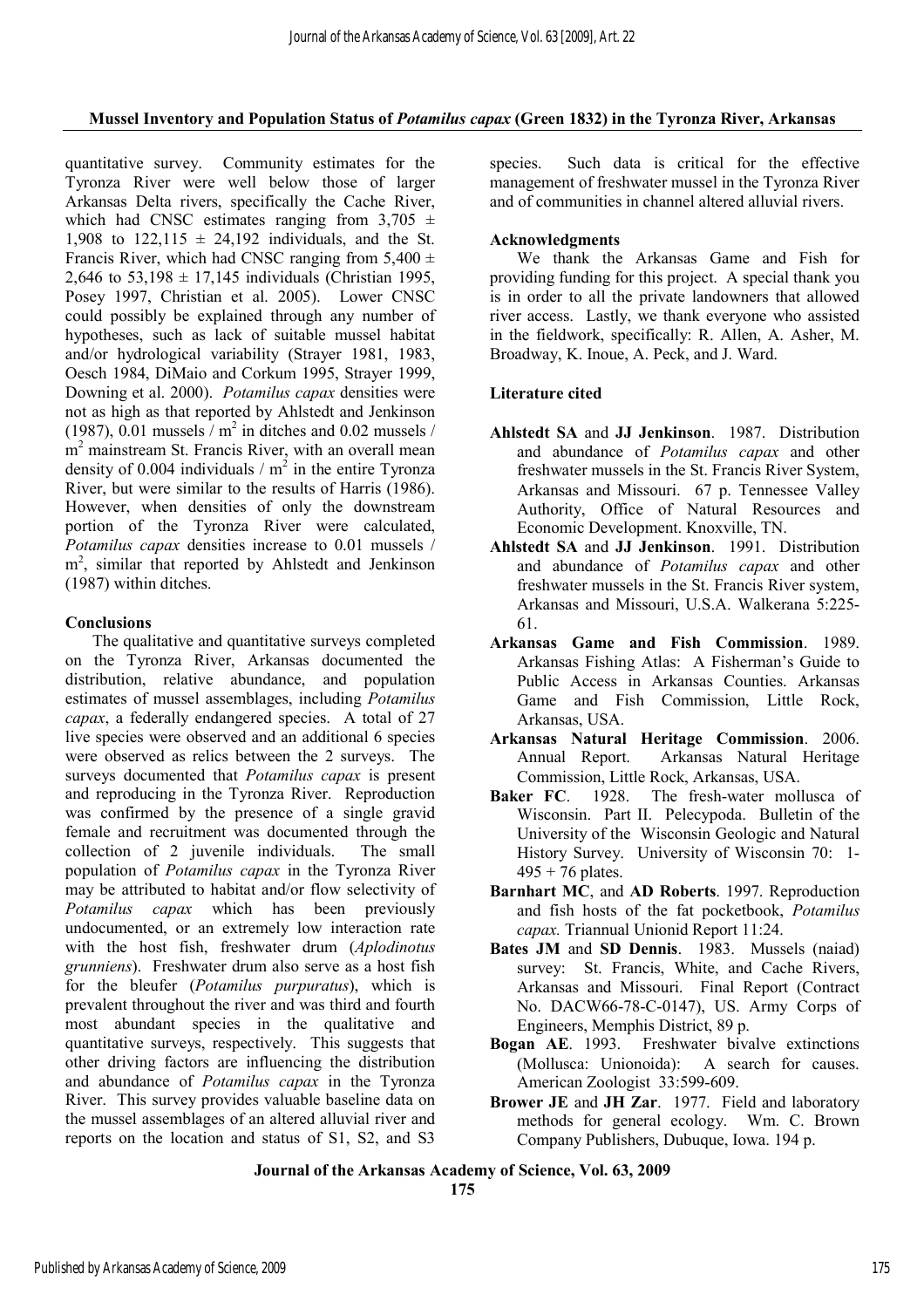## **Mussel Inventory and Population Status of** *Potamilus capax* **(Green 1832) in the Tyronza River, Arkansas**

quantitative survey. Community estimates for the Tyronza River were well below those of larger Arkansas Delta rivers, specifically the Cache River, which had CNSC estimates ranging from  $3,705 \pm$ 1,908 to  $122.115 \pm 24.192$  individuals, and the St. Francis River, which had CNSC ranging from  $5,400 \pm$ 2,646 to  $53,198 \pm 17,145$  individuals (Christian 1995, Posey 1997, Christian et al. 2005). Lower CNSC could possibly be explained through any number of hypotheses, such as lack of suitable mussel habitat and/or hydrological variability (Strayer 1981, 1983, Oesch 1984, DiMaio and Corkum 1995, Strayer 1999, Downing et al. 2000). *Potamilus capax* densities were not as high as that reported by Ahlstedt and Jenkinson (1987), 0.01 mussels  $/m^2$  in ditches and 0.02 mussels / m<sup>2</sup> mainstream St. Francis River, with an overall mean density of 0.004 individuals /  $m^2$  in the entire Tyronza River, but were similar to the results of Harris (1986). However, when densities of only the downstream portion of the Tyronza River were calculated, *Potamilus capax* densities increase to 0.01 mussels / m<sup>2</sup>, similar that reported by Ahlstedt and Jenkinson (1987) within ditches.

## **Conclusions**

The qualitative and quantitative surveys completed on the Tyronza River, Arkansas documented the distribution, relative abundance, and population estimates of mussel assemblages, including *Potamilus capax*, a federally endangered species. A total of 27 live species were observed and an additional 6 species were observed as relics between the 2 surveys. The surveys documented that *Potamilus capax* is present and reproducing in the Tyronza River. Reproduction was confirmed by the presence of a single gravid female and recruitment was documented through the collection of 2 juvenile individuals. The small population of *Potamilus capax* in the Tyronza River may be attributed to habitat and/or flow selectivity of *Potamilus capax* which has been previously undocumented, or an extremely low interaction rate with the host fish, freshwater drum (*Aplodinotus grunniens*). Freshwater drum also serve as a host fish for the bleufer (*Potamilus purpuratus*), which is prevalent throughout the river and was third and fourth most abundant species in the qualitative and quantitative surveys, respectively. This suggests that other driving factors are influencing the distribution and abundance of *Potamilus capax* in the Tyronza River. This survey provides valuable baseline data on the mussel assemblages of an altered alluvial river and reports on the location and status of S1, S2, and S3

species. Such data is critical for the effective management of freshwater mussel in the Tyronza River and of communities in channel altered alluvial rivers.

## **Acknowledgments**

We thank the Arkansas Game and Fish for providing funding for this project. A special thank you is in order to all the private landowners that allowed river access. Lastly, we thank everyone who assisted in the fieldwork, specifically: R. Allen, A. Asher, M. Broadway, K. Inoue, A. Peck, and J. Ward.

## **Literature cited**

- **Ahlstedt SA** and **JJ Jenkinson**. 1987. Distribution and abundance of *Potamilus capax* and other freshwater mussels in the St. Francis River System, Arkansas and Missouri. 67 p. Tennessee Valley Authority, Office of Natural Resources and Economic Development. Knoxville, TN.
- **Ahlstedt SA** and **JJ Jenkinson**. 1991. Distribution and abundance of *Potamilus capax* and other freshwater mussels in the St. Francis River system, Arkansas and Missouri, U.S.A. Walkerana 5:225- 61.
- **Arkansas Game and Fish Commission**. 1989. Arkansas Fishing Atlas: A Fisherman's Guide to Public Access in Arkansas Counties. Arkansas Game and Fish Commission, Little Rock, Arkansas, USA.
- **Arkansas Natural Heritage Commission**. 2006. Annual Report. Arkansas Natural Heritage Commission, Little Rock, Arkansas, USA.
- **Baker FC**. 1928. The fresh-water mollusca of Wisconsin. Part II. Pelecypoda. Bulletin of the University of the Wisconsin Geologic and Natural History Survey. University of Wisconsin 70: 1-  $495 + 76$  plates.
- **Barnhart MC**, and **AD Roberts**. 1997. Reproduction and fish hosts of the fat pocketbook, *Potamilus capax.* Triannual Unionid Report 11:24.
- **Bates JM** and **SD Dennis**. 1983. Mussels (naiad) survey: St. Francis, White, and Cache Rivers, Arkansas and Missouri. Final Report (Contract No. DACW66-78-C-0147), US. Army Corps of Engineers, Memphis District, 89 p.
- **Bogan AE**. 1993. Freshwater bivalve extinctions (Mollusca: Unionoida): A search for causes. American Zoologist 33:599-609.
- **Brower JE** and **JH Zar**. 1977. Field and laboratory methods for general ecology. Wm. C. Brown Company Publishers, Dubuque, Iowa. 194 p.